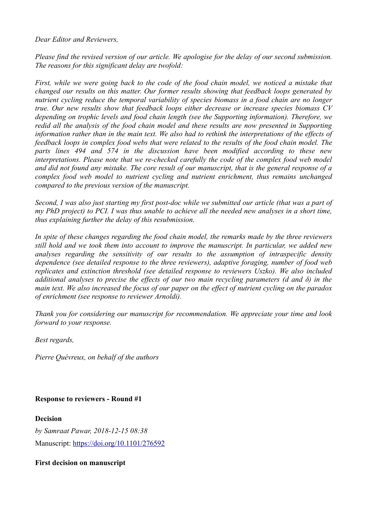*Dear Editor and Reviewers,*

*Please find the revised version of our article. We apologise for the delay of our second submission. The reasons for this significant delay are twofold:*

*First, while we were going back to the code of the food chain model, we noticed a mistake that changed our results on this matter. Our former results showing that feedback loops generated by nutrient cycling reduce the temporal variability of species biomass in a food chain are no longer true. Our new results show that feedback loops either decrease or increase species biomass CV depending on trophic levels and food chain length (see the Supporting information). Therefore, we redid all the analysis of the food chain model and these results are now presented in Supporting information rather than in the main text. We also had to rethink the interpretations of the effects of feedback loops in complex food webs that were related to the results of the food chain model. The parts lines 494 and 574 in the discussion have been modified according to these new interpretations. Please note that we re-checked carefully the code of the complex food web model and did not found any mistake. The core result of our manuscript, that is the general response of a complex food web model to nutrient cycling and nutrient enrichment, thus remains unchanged compared to the previous version of the manuscript.* 

*Second, I was also just starting my first post-doc while we submitted our article (that was a part of my PhD project) to PCI. I was thus unable to achieve all the needed new analyses in a short time, thus explaining further the delay of this resubmission.* 

*In spite of these changes regarding the food chain model, the remarks made by the three reviewers still hold and we took them into account to improve the manuscript. In particular, we added new analyses regarding the sensitivity of our results to the assumption of intraspecific density dependence (see detailed response to the three reviewers), adaptive foraging, number of food web replicates and extinction threshold (see detailed response to reviewers Uszko). We also included additional analyses to precise the effects of our two main recycling parameters (d and δ) in the main text. We also increased the focus of our paper on the effect of nutrient cycling on the paradox of enrichment (see response to reviewer Arnoldi).* 

*Thank you for considering our manuscript for recommendation. We appreciate your time and look forward to your response.* 

*Best regards,*

*Pierre Quévreux, on behalf of the authors*

# **Response to reviewers - Round #1**

**Decision**

*by Samraat Pawar, 2018-12-15 08:38* Manuscript:<https://doi.org/10.1101/276592>

# **First decision on manuscript**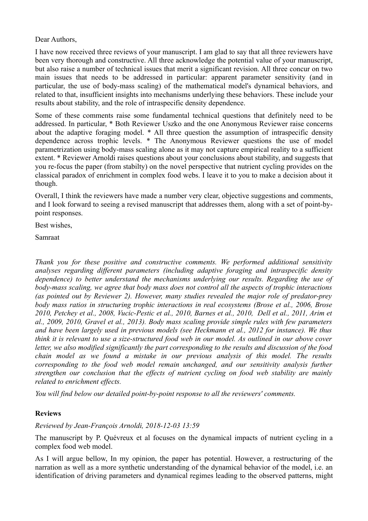Dear Authors,

I have now received three reviews of your manuscript. I am glad to say that all three reviewers have been very thorough and constructive. All three acknowledge the potential value of your manuscript, but also raise a number of technical issues that merit a significant revision. All three concur on two main issues that needs to be addressed in particular: apparent parameter sensitivity (and in particular, the use of body-mass scaling) of the mathematical model's dynamical behaviors, and related to that, insufficient insights into mechanisms underlying these behaviors. These include your results about stability, and the role of intraspecific density dependence.

Some of these comments raise some fundamental technical questions that definitely need to be addressed. In particular, \* Both Reviewer Uszko and the one Anonymous Reviewer raise concerns about the adaptive foraging model. \* All three question the assumption of intraspecific density dependence across trophic levels. \* The Anonymous Reviewer questions the use of model parametrization using body-mass scaling alone as it may not capture empirical reality to a sufficient extent. \* Reviewer Arnoldi raises questions about your conclusions about stability, and suggests that you re-focus the paper (from stabilty) on the novel perspective that nutrient cycling provides on the classical paradox of enrichment in complex food webs. I leave it to you to make a decision about it though.

Overall, I think the reviewers have made a number very clear, objective suggestions and comments, and I look forward to seeing a revised manuscript that addresses them, along with a set of point-bypoint responses.

Best wishes,

Samraat

*Thank you for these positive and constructive comments. We performed additional sensitivity analyses regarding different parameters (including adaptive foraging and intraspecific density dependence) to better understand the mechanisms underlying our results. Regarding the use of body-mass scaling, we agree that body mass does not control all the aspects of trophic interactions (as pointed out by Reviewer 2). However, many studies revealed the major role of predator-prey body mass ratios in structuring trophic interactions in real ecosystems (Brose et al., 2006, Brose 2010, Petchey et al., 2008, Vucic-Pestic et al., 2010, Barnes et al., 2010, Dell et al., 2011, Arim et al., 2009, 2010, Gravel et al., 2013). Body mass scaling provide simple rules with few parameters and have been largely used in previous models (see Heckmann et al., 2012 for instance). We thus think it is relevant to use a size-structured food web in our model. As outlined in our above cover letter, we also modified significantly the part corresponding to the results and discussion of the food chain model as we found a mistake in our previous analysis of this model. The results corresponding to the food web model remain unchanged, and our sensitivity analysis further strengthen our conclusion that the effects of nutrient cycling on food web stability are mainly related to enrichment effects.*

*You will find below our detailed point-by-point response to all the reviewers' comments.*

# **Reviews**

*Reviewed by Jean-François Arnoldi, 2018-12-03 13:59*

The manuscript by P. Quévreux et al focuses on the dynamical impacts of nutrient cycling in a complex food web model.

As I will argue bellow, In my opinion, the paper has potential. However, a restructuring of the narration as well as a more synthetic understanding of the dynamical behavior of the model, i.e. an identification of driving parameters and dynamical regimes leading to the observed patterns, might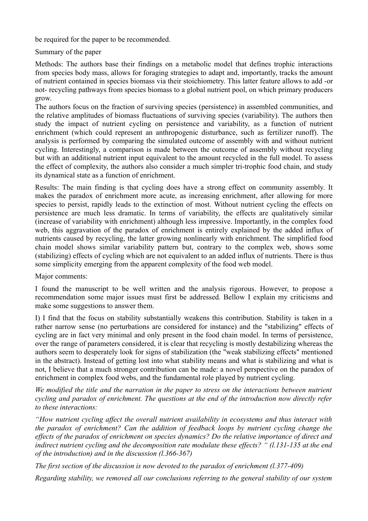be required for the paper to be recommended.

Summary of the paper

Methods: The authors base their findings on a metabolic model that defines trophic interactions from species body mass, allows for foraging strategies to adapt and, importantly, tracks the amount of nutrient contained in species biomass via their stoichiometry. This latter feature allows to add -or not- recycling pathways from species biomass to a global nutrient pool, on which primary producers grow.

The authors focus on the fraction of surviving species (persistence) in assembled communities, and the relative amplitudes of biomass fluctuations of surviving species (variability). The authors then study the impact of nutrient cycling on persistence and variability, as a function of nutrient enrichment (which could represent an anthropogenic disturbance, such as fertilizer runoff). The analysis is performed by comparing the simulated outcome of assembly with and without nutrient cycling. Interestingly, a comparison is made between the outcome of assembly without recycling but with an additional nutrient input equivalent to the amount recycled in the full model. To assess the effect of complexity, the authors also consider a much simpler tri-trophic food chain, and study its dynamical state as a function of enrichment.

Results: The main finding is that cycling does have a strong effect on community assembly. It makes the paradox of enrichment more acute, as increasing enrichment, after allowing for more species to persist, rapidly leads to the extinction of most. Without nutrient cycling the effects on persistence are much less dramatic. In terms of variability, the effects are qualitatively similar (increase of variability with enrichment) although less impressive. Importantly, in the complex food web, this aggravation of the paradox of enrichment is entirely explained by the added influx of nutrients caused by recycling, the latter growing nonlinearly with enrichment. The simplified food chain model shows similar variability pattern but, contrary to the complex web, shows some (stabilizing) effects of cycling which are not equivalent to an added influx of nutrients. There is thus some simplicity emerging from the apparent complexity of the food web model.

Major comments:

I found the manuscript to be well written and the analysis rigorous. However, to propose a recommendation some major issues must first be addressed. Bellow I explain my criticisms and make some suggestions to answer them.

I) I find that the focus on stability substantially weakens this contribution. Stability is taken in a rather narrow sense (no perturbations are considered for instance) and the "stabilizing" effects of cycling are in fact very minimal and only present in the food chain model. In terms of persistence, over the range of parameters considered, it is clear that recycling is mostly destabilizing whereas the authors seem to desperately look for signs of stabilization (the "weak stabilizing effects" mentioned in the abstract). Instead of getting lost into what stability means and what is stabilizing and what is not, I believe that a much stronger contribution can be made: a novel perspective on the paradox of enrichment in complex food webs, and the fundamental role played by nutrient cycling.

*We modified the title and the narration in the paper to stress on the interactions between nutrient cycling and paradox of enrichment. The questions at the end of the introduction now directly refer to these interactions:* 

*"How nutrient cycling affect the overall nutrient availability in ecosystems and thus interact with the paradox of enrichment? Can the addition of feedback loops by nutrient cycling change the effects of the paradox of enrichment on species dynamics? Do the relative importance of direct and indirect nutrient cycling and the decomposition rate modulate these effects? " (l.131-135 at the end of the introduction) and in the discussion (l.366-367)*

*The first section of the discussion is now devoted to the paradox of enrichment (l.377-409)*

*Regarding stability, we removed all our conclusions referring to the general stability of our system*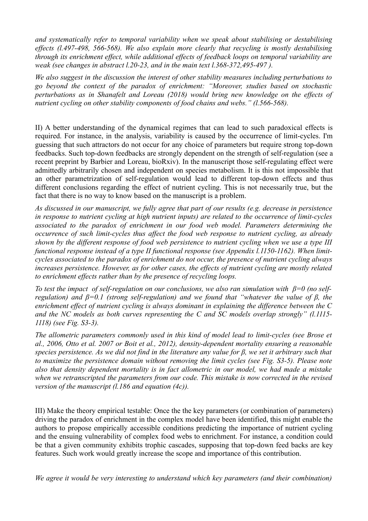*and systematically refer to temporal variability when we speak about stabilising or destabilising effects (l.497-498, 566-568). We also explain more clearly that recycling is mostly destabilising through its enrichment effect, while additional effects of feedback loops on temporal variability are weak (see changes in abstract l.20-23, and in the main text l.368-372,495-497 ).*

*We also suggest in the discussion the interest of other stability measures including perturbations to go beyond the context of the paradox of enrichment: "Moreover, studies based on stochastic perturbations as in Shanafelt and Loreau (2018) would bring new knowledge on the effects of nutrient cycling on other stability components of food chains and webs." (l.566-568).* 

II) A better understanding of the dynamical regimes that can lead to such paradoxical effects is required. For instance, in the analysis, variability is caused by the occurrence of limit-cycles. I'm guessing that such attractors do not occur for any choice of parameters but require strong top-down feedbacks. Such top-down feedbacks are strongly dependent on the strength of self-regulation (see a recent preprint by Barbier and Loreau, bioRxiv). In the manuscript those self-regulating effect were admittedly arbitrarily chosen and independent on species metabolism. It is this not impossible that an other parametrization of self-regulation would lead to different top-down effects and thus different conclusions regarding the effect of nutrient cycling. This is not necessarily true, but the fact that there is no way to know based on the manuscript is a problem.

*As discussed in our manuscript, we fully agree that part of our results (e.g. decrease in persistence in response to nutrient cycling at high nutrient inputs) are related to the occurrence of limit-cycles associated to the paradox of enrichment in our food web model. Parameters determining the occurrence of such limit-cycles thus affect the food web response to nutrient cycling, as already shown by the different response of food web persistence to nutrient cycling when we use a type III functional response instead of a type II functional response (see Appendix l.1150-1162). When limitcycles associated to the paradox of enrichment do not occur, the presence of nutrient cycling always increases persistence. However, as for other cases, the effects of nutrient cycling are mostly related to enrichment effects rather than by the presence of recycling loops.*

*To test the impact of self-regulation on our conclusions, we also ran simulation with β=0 (no selfregulation) and β=0.1 (strong self-regulation) and we found that "whatever the value of β, the enrichment effect of nutrient cycling is always dominant in explaining the difference between the C and the NC models as both curves representing the C and SC models overlap strongly" (l.1115- 1118) (see Fig. S3-3).*

*The allometric parameters commonly used in this kind of model lead to limit-cycles (see Brose et al., 2006, Otto et al. 2007 or Boit et al., 2012), density-dependent mortality ensuring a reasonable species persistence. As we did not find in the literature any value for β, we set it arbitrary such that to maximize the persistence domain without removing the limit cycles (see Fig. S3-5). Please note also that density dependent mortality is in fact allometric in our model, we had made a mistake when we retranscripted the parameters from our code. This mistake is now corrected in the revised version of the manuscript (l.186 and equation (4c)).*

III) Make the theory empirical testable: Once the the key parameters (or combination of parameters) driving the paradox of enrichment in the complex model have been identified, this might enable the authors to propose empirically accessible conditions predicting the importance of nutrient cycling and the ensuing vulnerability of complex food webs to enrichment. For instance, a condition could be that a given community exhibits trophic cascades, supposing that top-down feed backs are key features. Such work would greatly increase the scope and importance of this contribution.

*We agree it would be very interesting to understand which key parameters (and their combination)*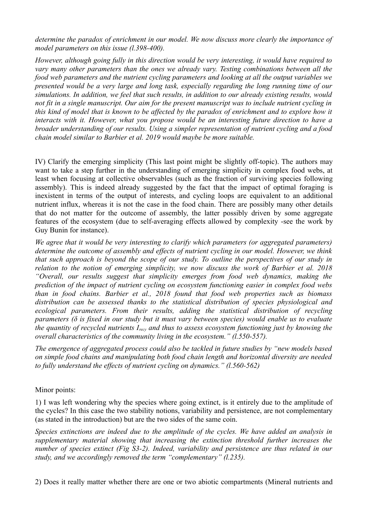*determine the paradox of enrichment in our model. We now discuss more clearly the importance of model parameters on this issue (l.398-400).*

*However, although going fully in this direction would be very interesting, it would have required to vary many other parameters than the ones we already vary. Testing combinations between all the food web parameters and the nutrient cycling parameters and looking at all the output variables we presented would be a very large and long task, especially regarding the long running time of our simulations. In addition, we feel that such results, in addition to our already existing results, would not fit in a single manuscript. Our aim for the present manuscript was to include nutrient cycling in this kind of model that is known to be affected by the paradox of enrichment and to explore how it interacts with it. However, what you propose would be an interesting future direction to have a broader understanding of our results. Using a simpler representation of nutrient cycling and a food chain model similar to Barbier et al. 2019 would maybe be more suitable.*

IV) Clarify the emerging simplicity (This last point might be slightly off-topic). The authors may want to take a step further in the understanding of emerging simplicity in complex food webs, at least when focusing at collective observables (such as the fraction of surviving species following assembly). This is indeed already suggested by the fact that the impact of optimal foraging is inexistent in terms of the output of interests, and cycling loops are equivalent to an additional nutrient influx, whereas it is not the case in the food chain. There are possibly many other details that do not matter for the outcome of assembly, the latter possibly driven by some aggregate features of the ecosystem (due to self-averaging effects allowed by complexity -see the work by Guy Bunin for instance).

*We agree that it would be very interesting to clarify which parameters (or aggregated parameters) determine the outcome of assembly and effects of nutrient cycling in our model. However, we think that such approach is beyond the scope of our study. To outline the perspectives of our study in relation to the notion of emerging simplicity, we now discuss the work of Barbier et al. 2018 "Overall, our results suggest that simplicity emerges from food web dynamics, making the prediction of the impact of nutrient cycling on ecosystem functioning easier in complex food webs than in food chains. Barbier et al., 2018 found that food web properties such as biomass distribution can be assessed thanks to the statistical distribution of species physiological and ecological parameters. From their results, adding the statistical distribution of recycling parameters (δ is fixed in our study but it must vary between species) would enable us to evaluate the quantity of recycled nutrients Irecy and thus to assess ecosystem functioning just by knowing the overall characteristics of the community living in the ecosystem." (l.550-557).*

*The emergence of aggregated process could also be tackled in future studies by "new models based on simple food chains and manipulating both food chain length and horizontal diversity are needed to fully understand the effects of nutrient cycling on dynamics." (l.560-562)*

Minor points:

1) I was left wondering why the species where going extinct, is it entirely due to the amplitude of the cycles? In this case the two stability notions, variability and persistence, are not complementary (as stated in the introduction) but are the two sides of the same coin.

*Species extinctions are indeed due to the amplitude of the cycles. We have added an analysis in supplementary material showing that increasing the extinction threshold further increases the number of species extinct (Fig S3-2). Indeed, variability and persistence are thus related in our study, and we accordingly removed the term "complementary" (l.235).*

2) Does it really matter whether there are one or two abiotic compartments (Mineral nutrients and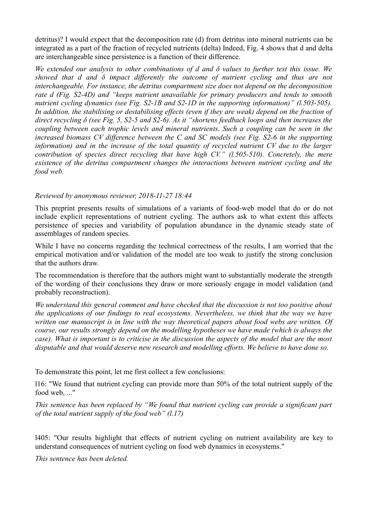detritus)? I would expect that the decomposition rate (d) from detritus into mineral nutrients can be integrated as a part of the fraction of recycled nutrients (delta) Indeed, Fig. 4 shows that d and delta are interchangeable since persistence is a function of their difference.

*We extended our analysis to other combinations of d and δ values to further test this issue. We showed that d and δ impact differently the outcome of nutrient cycling and thus are not interchangeable. For instance, the detritus compartment size does not depend on the decomposition rate d (Fig. S2-4D) and "keeps nutrient unavailable for primary producers and tends to smooth nutrient cycling dynamics (see Fig. S2-1B and S2-1D in the supporting information)" (l.503-505). In addition, the stabilising or destabilising effects (even if they are weak) depend on the fraction of direct recycling δ (see Fig. 5, S2-5 and S2-6). As it "shortens feedback loops and then increases the coupling between each trophic levels and mineral nutrients. Such a coupling can be seen in the increased biomass CV difference between the C and SC models (see Fig. S2-6 in the supporting information) and in the increase of the total quantity of recycled nutrient CV due to the larger contribution of species direct recycling that have high CV." (l.505-510). Concretely, the mere existence of the detritus compartment changes the interactions between nutrient cycling and the food web.* 

## *Reviewed by anonymous reviewer, 2018-11-27 18:44*

This preprint presents results of simulations of a variants of food-web model that do or do not include explicit representations of nutrient cycling. The authors ask to what extent this affects persistence of species and variability of population abundance in the dynamic steady state of assemblages of random species.

While I have no concerns regarding the technical correctness of the results, I am worried that the empirical motivation and/or validation of the model are too weak to justify the strong conclusion that the authors draw.

The recommendation is therefore that the authors might want to substantially moderate the strength of the wording of their conclusions they draw or more seriously engage in model validation (and probably reconstruction).

*We understand this general comment and have checked that the discussion is not too positive about the applications of our findings to real ecosystems. Nevertheless, we think that the way we have written our manuscript is in line with the way theoretical papers about food webs are written. Of course, our results strongly depend on the modelling hypotheses we have made (which is always the case). What is important is to criticise in the discussion the aspects of the model that are the most disputable and that would deserve new research and modelling efforts. We believe to have done so.*

To demonstrate this point, let me first collect a few conclusions:

l16: "We found that nutrient cycling can provide more than 50% of the total nutrient supply of the food web, ..."

*This sentence has been replaced by "We found that nutrient cycling can provide a significant part of the total nutrient supply of the food web" (l.17)*

l405: "Our results highlight that effects of nutrient cycling on nutrient availability are key to understand consequences of nutrient cycling on food web dynamics in ecosystems."

*This sentence has been deleted.*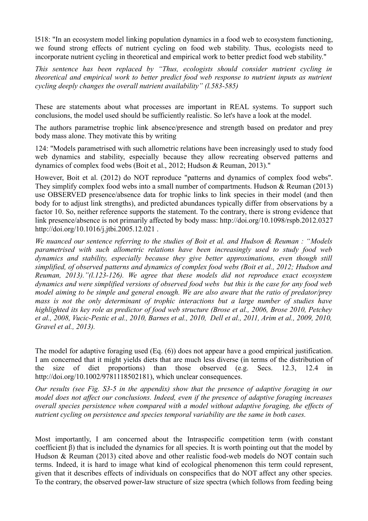l518: "In an ecosystem model linking population dynamics in a food web to ecosystem functioning, we found strong effects of nutrient cycling on food web stability. Thus, ecologists need to incorporate nutrient cycling in theoretical and empirical work to better predict food web stability."

*This sentence has been replaced by "Thus, ecologists should consider nutrient cycling in theoretical and empirical work to better predict food web response to nutrient inputs as nutrient cycling deeply changes the overall nutrient availability" (l.583-585)*

These are statements about what processes are important in REAL systems. To support such conclusions, the model used should be sufficiently realistic. So let's have a look at the model.

The authors parametrise trophic link absence/presence and strength based on predator and prey body mass alone. They motivate this by writing

124: "Models parametrised with such allometric relations have been increasingly used to study food web dynamics and stability, especially because they allow recreating observed patterns and dynamics of complex food webs (Boit et al., 2012; Hudson & Reuman, 2013)."

However, Boit et al. (2012) do NOT reproduce "patterns and dynamics of complex food webs". They simplify complex food webs into a small number of compartments. Hudson & Reuman (2013) use OBSERVED presence/absence data for trophic links to link species in their model (and then body for to adjust link strengths), and predicted abundances typically differ from observations by a factor 10. So, neither reference supports the statement. To the contrary, there is strong evidence that link presence/absence is not primarily affected by body mass: http://doi.org/10.1098/rspb.2012.0327 http://doi.org/10.1016/j.jtbi.2005.12.021 .

*We nuanced our sentence referring to the studies of Boit et al. and Hudson & Reuman : "Models parametrised with such allometric relations have been increasingly used to study food web dynamics and stability, especially because they give better approximations, even though still simplified, of observed patterns and dynamics of complex food webs (Boit et al., 2012; Hudson and Reuman, 2013)."(l.123-126). We agree that these models did not reproduce exact ecosystem dynamics and were simplified versions of observed food webs but this is the case for any food web model aiming to be simple and general enough. We are also aware that the ratio of predator/prey mass is not the only determinant of trophic interactions but a large number of studies have highlighted its key role as predictor of food web structure (Brose et al., 2006, Brose 2010, Petchey et al., 2008, Vucic-Pestic et al., 2010, Barnes et al., 2010, Dell et al., 2011, Arim et al., 2009, 2010, Gravel et al., 2013).*

The model for adaptive foraging used (Eq. (6)) does not appear have a good empirical justification. I am concerned that it might yields diets that are much less diverse (in terms of the distribution of the size of diet proportions) than those observed (e.g. Secs. 12.3, 12.4 http://doi.org/10.1002/9781118502181), which unclear consequences.

*Our results (see Fig. S3-5 in the appendix) show that the presence of adaptive foraging in our model does not affect our conclusions. Indeed, even if the presence of adaptive foraging increases overall species persistence when compared with a model without adaptive foraging, the effects of nutrient cycling on persistence and species temporal variability are the same in both cases.* 

Most importantly, I am concerned about the Intraspecific competition term (with constant coefficient β) that is included the dynamics for all species. It is worth pointing out that the model by Hudson & Reuman (2013) cited above and other realistic food-web models do NOT contain such terms. Indeed, it is hard to image what kind of ecological phenomenon this term could represent, given that it describes effects of individuals on conspecifics that do NOT affect any other species. To the contrary, the observed power-law structure of size spectra (which follows from feeding being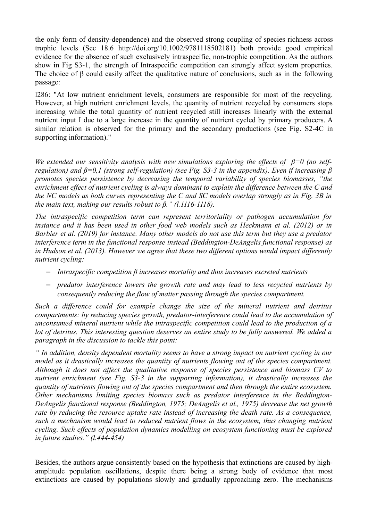the only form of density-dependence) and the observed strong coupling of species richness across trophic levels (Sec 18.6 http://doi.org/10.1002/9781118502181) both provide good empirical evidence for the absence of such exclusively intraspecific, non-trophic competition. As the authors show in Fig S3-1, the strength of Intraspecific competition can strongly affect system properties. The choice of  $\beta$  could easily affect the qualitative nature of conclusions, such as in the following passage:

l286: "At low nutrient enrichment levels, consumers are responsible for most of the recycling. However, at high nutrient enrichment levels, the quantity of nutrient recycled by consumers stops increasing while the total quantity of nutrient recycled still increases linearly with the external nutrient input I due to a large increase in the quantity of nutrient cycled by primary producers. A similar relation is observed for the primary and the secondary productions (see Fig. S2-4C in supporting information)."

*We extended our sensitivity analysis with new simulations exploring the effects of β=0 (no selfregulation) and β=0,1 (strong self-regulation) (see Fig. S3-3 in the appendix). Even if increasing β promotes species persistence by decreasing the temporal variability of species biomasses, "the enrichment effect of nutrient cycling is always dominant to explain the difference between the C and the NC models as both curves representing the C and SC models overlap strongly as in Fig. 3B in the main text, making our results robust to β." (l.1116-1118).*

*The intraspecific competition term can represent territoriality or pathogen accumulation for instance and it has been used in other food web models such as Heckmann et al. (2012) or in Barbier et al. (2019) for instance. Many other models do not use this term but they use a predator interference term in the functional response instead (Beddington-DeAngelis functional response) as in Hudson et al. (2013). However we agree that these two different options would impact differently nutrient cycling:*

- *Intraspecific competition β increases mortality and thus increases excreted nutrients*
- *predator interference lowers the growth rate and may lead to less recycled nutrients by consequently reducing the flow of matter passing through the species compartment.*

*Such a difference could for example change the size of the mineral nutrient and detritus compartments: by reducing species growth, predator-interference could lead to the accumulation of unconsumed mineral nutrient while the intraspecific competition could lead to the production of a lot of detritus. This interesting question deserves an entire study to be fully answered. We added a paragraph in the discussion to tackle this point:*

*" In addition, density dependent mortality seems to have a strong impact on nutrient cycling in our model as it drastically increases the quantity of nutrients flowing out of the species compartment. Although it does not affect the qualitative response of species persistence and biomass CV to nutrient enrichment (see Fig. S3-3 in the supporting information), it drastically increases the quantity of nutrients flowing out of the species compartment and then through the entire ecosystem. Other mechanisms limiting species biomass such as predator interference in the Beddington-DeAngelis functional response (Beddington, 1975; DeAngelis et al., 1975) decrease the net growth rate by reducing the resource uptake rate instead of increasing the death rate. As a consequence, such a mechanism would lead to reduced nutrient flows in the ecosystem, thus changing nutrient cycling. Such effects of population dynamics modelling on ecosystem functioning must be explored in future studies." (l.444-454)*

Besides, the authors argue consistently based on the hypothesis that extinctions are caused by highamplitude population oscillations, despite there being a strong body of evidence that most extinctions are caused by populations slowly and gradually approaching zero. The mechanisms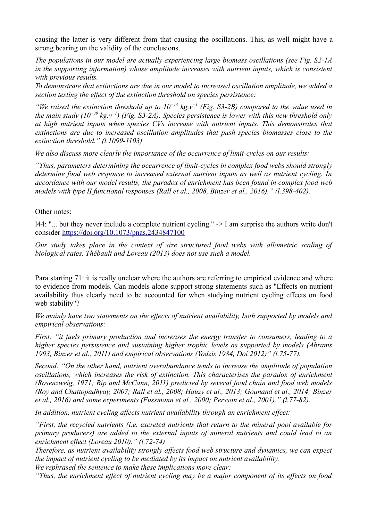causing the latter is very different from that causing the oscillations. This, as well might have a strong bearing on the validity of the conclusions.

*The populations in our model are actually experiencing large biomass oscillations (see Fig. S2-1A in the supporting information) whose amplitude increases with nutrient inputs, which is consistent with previous results.*

*To demonstrate that extinctions are due in our model to increased oscillation amplitude, we added a section testing the effect of the extinction threshold on species persistence:*

*"We raised the extinction threshold up to 10−15 kg.v−1 (Fig. S3-2B) compared to the value used in the main study (10−30 kg.v−1) (Fig. S3-2A). Species persistence is lower with this new threshold only at high nutrient inputs when species CVs increase with nutrient inputs. This demonstrates that extinctions are due to increased oscillation amplitudes that push species biomasses close to the extinction threshold." (l.1099-1103)*

*We also discuss more clearly the importance of the occurrence of limit-cycles on our results:*

*"Thus, parameters determining the occurrence of limit-cycles in complex food webs should strongly determine food web response to increased external nutrient inputs as well as nutrient cycling. In accordance with our model results, the paradox of enrichment has been found in complex food web models with type II functional responses (Rall et al., 2008, Binzer et al., 2016)." (l.398-402).*

#### Other notes:

l44: "... but they never include a complete nutrient cycling." -> I am surprise the authors write don't consider<https://doi.org/10.1073/pnas.2434847100>

*Our study takes place in the context of size structured food webs with allometric scaling of biological rates. Thébault and Loreau (2013) does not use such a model.*

Para starting 71: it is really unclear where the authors are referring to empirical evidence and where to evidence from models. Can models alone support strong statements such as "Effects on nutrient availability thus clearly need to be accounted for when studying nutrient cycling effects on food web stability"?

*We mainly have two statements on the effects of nutrient availability, both supported by models and empirical observations:*

*First: "it fuels primary production and increases the energy transfer to consumers, leading to a higher species persistence and sustaining higher trophic levels as supported by models (Abrams 1993, Binzer et al., 2011) and empirical observations (Yodzis 1984, Doi 2012)" (l.75-77).*

*Second: "On the other hand, nutrient overabundance tends to increase the amplitude of population oscillations, which increases the risk of extinction. This characterises the paradox of enrichment (Rosenzweig, 1971; Rip and McCann, 2011) predicted by several food chain and food web models (Roy and Chattopadhyay, 2007; Rall et al., 2008; Hauzy et al., 2013; Gounand et al., 2014; Binzer et al., 2016) and some experiments (Fussmann et al., 2000; Persson et al., 2001)." (l.77-82).*

*In addition, nutrient cycling affects nutrient availability through an enrichment effect:*

*"First, the recycled nutrients (i.e. excreted nutrients that return to the mineral pool available for primary producers) are added to the external inputs of mineral nutrients and could lead to an enrichment effect (Loreau 2010)." (l.72-74)*

*Therefore, as nutrient availability strongly affects food web structure and dynamics, we can expect the impact of nutrient cycling to be mediated by its impact on nutrient availability.*

*We rephrased the sentence to make these implications more clear:*

*"Thus, the enrichment effect of nutrient cycling may be a major component of its effects on food*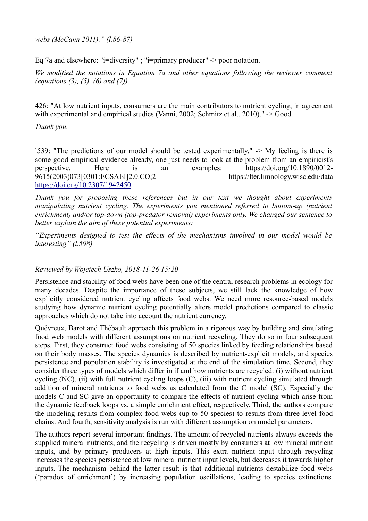*webs (McCann 2011)." (l.86-87)*

Eq 7a and elsewhere: "i=diversity" ; "i=primary producer" -> poor notation.

*We modified the notations in Equation 7a and other equations following the reviewer comment (equations (3), (5), (6) and (7)).*

426: "At low nutrient inputs, consumers are the main contributors to nutrient cycling, in agreement with experimental and empirical studies (Vanni, 2002; Schmitz et al., 2010)." -> Good.

*Thank you.*

l539: "The predictions of our model should be tested experimentally." -> My feeling is there is some good empirical evidence already, one just needs to look at the problem from an empiricist's perspective. Here is an examples: https://doi.org/10.1890/0012- 9615(2003)073[0301:ECSAEI]2.0.CO;2 https://lter.limnology.wisc.edu/data <https://doi.org/10.2307/1942450>

*Thank you for proposing these references but in our text we thought about experiments manipulating nutrient cycling. The experiments you mentioned referred to bottom-up (nutrient enrichment) and/or top-down (top-predator removal) experiments only. We changed our sentence to better explain the aim of these potential experiments:*

*"Experiments designed to test the effects of the mechanisms involved in our model would be interesting" (l.598)*

# *Reviewed by Wojciech Uszko, 2018-11-26 15:20*

Persistence and stability of food webs have been one of the central research problems in ecology for many decades. Despite the importance of these subjects, we still lack the knowledge of how explicitly considered nutrient cycling affects food webs. We need more resource-based models studying how dynamic nutrient cycling potentially alters model predictions compared to classic approaches which do not take into account the nutrient currency.

Quévreux, Barot and Thébault approach this problem in a rigorous way by building and simulating food web models with different assumptions on nutrient recycling. They do so in four subsequent steps. First, they construct food webs consisting of 50 species linked by feeding relationships based on their body masses. The species dynamics is described by nutrient-explicit models, and species persistence and population stability is investigated at the end of the simulation time. Second, they consider three types of models which differ in if and how nutrients are recycled: (i) without nutrient cycling (NC), (ii) with full nutrient cycling loops (C), (iii) with nutrient cycling simulated through addition of mineral nutrients to food webs as calculated from the C model (SC). Especially the models C and SC give an opportunity to compare the effects of nutrient cycling which arise from the dynamic feedback loops vs. a simple enrichment effect, respectively. Third, the authors compare the modeling results from complex food webs (up to 50 species) to results from three-level food chains. And fourth, sensitivity analysis is run with different assumption on model parameters.

The authors report several important findings. The amount of recycled nutrients always exceeds the supplied mineral nutrients, and the recycling is driven mostly by consumers at low mineral nutrient inputs, and by primary producers at high inputs. This extra nutrient input through recycling increases the species persistence at low mineral nutrient input levels, but decreases it towards higher inputs. The mechanism behind the latter result is that additional nutrients destabilize food webs ('paradox of enrichment') by increasing population oscillations, leading to species extinctions.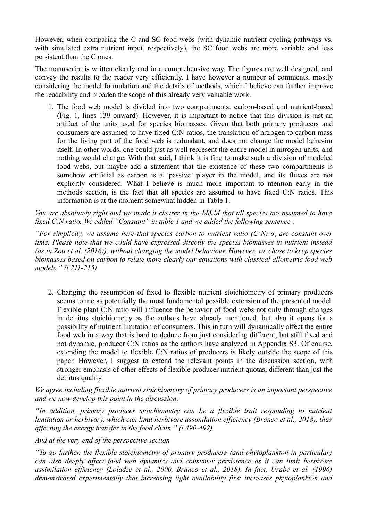However, when comparing the C and SC food webs (with dynamic nutrient cycling pathways vs. with simulated extra nutrient input, respectively), the SC food webs are more variable and less persistent than the C ones.

The manuscript is written clearly and in a comprehensive way. The figures are well designed, and convey the results to the reader very efficiently. I have however a number of comments, mostly considering the model formulation and the details of methods, which I believe can further improve the readability and broaden the scope of this already very valuable work.

1. The food web model is divided into two compartments: carbon-based and nutrient-based (Fig. 1, lines 139 onward). However, it is important to notice that this division is just an artifact of the units used for species biomasses. Given that both primary producers and consumers are assumed to have fixed C:N ratios, the translation of nitrogen to carbon mass for the living part of the food web is redundant, and does not change the model behavior itself. In other words, one could just as well represent the entire model in nitrogen units, and nothing would change. With that said, I think it is fine to make such a division of modeled food webs, but maybe add a statement that the existence of these two compartments is somehow artificial as carbon is a 'passive' player in the model, and its fluxes are not explicitly considered. What I believe is much more important to mention early in the methods section, is the fact that all species are assumed to have fixed C:N ratios. This information is at the moment somewhat hidden in Table 1.

*You are absolutely right and we made it clearer in the M&M that all species are assumed to have fixed C:N ratio. We added "Constant" in table 1 and we added the following sentence :*

*"For simplicity, we assume here that species carbon to nutrient ratio (C:N) αi are constant over time. Please note that we could have expressed directly the species biomasses in nutrient instead (as in Zou et al. (2016)), without changing the model behaviour. However, we chose to keep species biomasses based on carbon to relate more clearly our equations with classical allometric food web models." (l.211-215)*

2. Changing the assumption of fixed to flexible nutrient stoichiometry of primary producers seems to me as potentially the most fundamental possible extension of the presented model. Flexible plant C:N ratio will influence the behavior of food webs not only through changes in detritus stoichiometry as the authors have already mentioned, but also it opens for a possibility of nutrient limitation of consumers. This in turn will dynamically affect the entire food web in a way that is hard to deduce from just considering different, but still fixed and not dynamic, producer C:N ratios as the authors have analyzed in Appendix S3. Of course, extending the model to flexible C:N ratios of producers is likely outside the scope of this paper. However, I suggest to extend the relevant points in the discussion section, with stronger emphasis of other effects of flexible producer nutrient quotas, different than just the detritus quality.

*We agree including flexible nutrient stoichiometry of primary producers is an important perspective and we now develop this point in the discussion:*

*"In addition, primary producer stoichiometry can be a flexible trait responding to nutrient limitation or herbivory, which can limit herbivore assimilation efficiency (Branco et al., 2018), thus affecting the energy transfer in the food chain." (l.490-492).*

*And at the very end of the perspective section* 

*"To go further, the flexible stoichiometry of primary producers (and phytoplankton in particular) can also deeply affect food web dynamics and consumer persistence as it can limit herbivore assimilation efficiency (Loladze et al., 2000, Branco et al., 2018). In fact, Urabe et al. (1996) demonstrated experimentally that increasing light availability first increases phytoplankton and*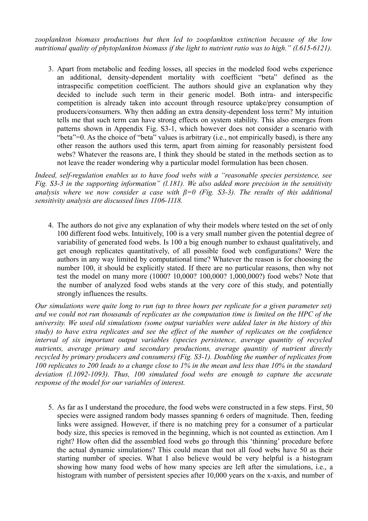*zooplankton biomass productions but then led to zooplankton extinction because of the low nutritional quality of phytoplankton biomass if the light to nutrient ratio was to high." (l.615-6121).*

3. Apart from metabolic and feeding losses, all species in the modeled food webs experience an additional, density-dependent mortality with coefficient "beta" defined as the intraspecific competition coefficient. The authors should give an explanation why they decided to include such term in their generic model. Both intra- and interspecific competition is already taken into account through resource uptake/prey consumption of producers/consumers. Why then adding an extra density-dependent loss term? My intuition tells me that such term can have strong effects on system stability. This also emerges from patterns shown in Appendix Fig. S3-1, which however does not consider a scenario with "beta"=0. As the choice of "beta" values is arbitrary (i.e., not empirically based), is there any other reason the authors used this term, apart from aiming for reasonably persistent food webs? Whatever the reasons are, I think they should be stated in the methods section as to not leave the reader wondering why a particular model formulation has been chosen.

*Indeed, self-regulation enables us to have food webs with a "reasonable species persistence, see Fig. S3-3 in the supporting information" (l.181). We also added more precision in the sensitivity analysis where we now consider a case with β=0 (Fig. S3-3). The results of this additional sensitivity analysis are discussed lines 1106-1118.*

4. The authors do not give any explanation of why their models where tested on the set of only 100 different food webs. Intuitively, 100 is a very small number given the potential degree of variability of generated food webs. Is 100 a big enough number to exhaust qualitatively, and get enough replicates quantitatively, of all possible food web configurations? Were the authors in any way limited by computational time? Whatever the reason is for choosing the number 100, it should be explicitly stated. If there are no particular reasons, then why not test the model on many more (1000? 10,000? 100,000? 1,000,000?) food webs? Note that the number of analyzed food webs stands at the very core of this study, and potentially strongly influences the results.

*Our simulations were quite long to run (up to three hours per replicate for a given parameter set) and we could not run thousands of replicates as the computation time is limited on the HPC of the university. We used old simulations (some output variables were added later in the history of this study) to have extra replicates and see the effect of the number of replicates on the confidence interval of six important output variables (species persistence, average quantity of recycled nutrients, average primary and secondary productions, average quantity of nutrient directly recycled by primary producers and consumers) (Fig. S3-1). Doubling the number of replicates from 100 replicates to 200 leads to a change close to 1% in the mean and less than 10% in the standard deviation (l.1092-1093). Thus, 100 simulated food webs are enough to capture the accurate response of the model for our variables of interest.*

5. As far as I understand the procedure, the food webs were constructed in a few steps. First, 50 species were assigned random body masses spanning 6 orders of magnitude. Then, feeding links were assigned. However, if there is no matching prey for a consumer of a particular body size, this species is removed in the beginning, which is not counted as extinction. Am I right? How often did the assembled food webs go through this 'thinning' procedure before the actual dynamic simulations? This could mean that not all food webs have 50 as their starting number of species. What I also believe would be very helpful is a histogram showing how many food webs of how many species are left after the simulations, i.e., a histogram with number of persistent species after 10,000 years on the x-axis, and number of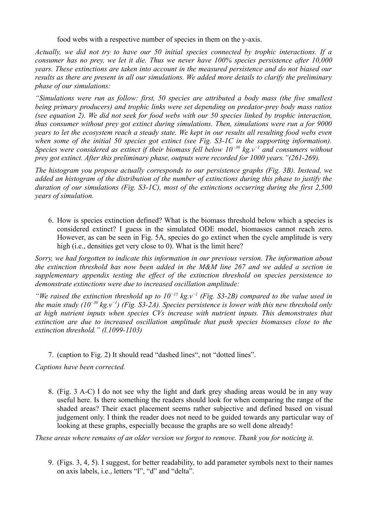food webs with a respective number of species in them on the y-axis.

*Actually, we did not try to have our 50 initial species connected by trophic interactions. If a consumer has no prey, we let it die. Thus we never have 100% species persistence after 10,000 years. These extinctions are taken into account in the measured persistence and do not biased our results as there are present in all our simulations. We added more details to clarify the preliminary phase of our simulations:*

*"Simulations were run as follow: first, 50 species are attributed a body mass (the five smallest being primary producers) and trophic links were set depending on predator-prey body mass ratios (see equation 2). We did not seek for food webs with our 50 species linked by trophic interaction, thus consumer without prey got extinct during simulations. Then, simulations were run a for 9000 years to let the ecosystem reach a steady state. We kept in our results all resulting food webs even when some of the initial 50 species got extinct (see Fig. S3-1C in the supporting information). Species were considered as extinct if their biomass fell below 10−30 kg.v−1 and consumers without prey got extinct. After this preliminary phase, outputs were recorded for 1000 years."(261-269).*

*The histogram you propose actually corresponds to our persistence graphs (Fig. 3B). Instead, we added an histogram of the distribution of the number of extinctions during this phase to justify the duration of our simulations (Fig. S3-1C), most of the extinctions occurring during the first 2,500 years of simulation.*

6. How is species extinction defined? What is the biomass threshold below which a species is considered extinct? I guess in the simulated ODE model, biomasses cannot reach zero. However, as can be seen in Fig. 5A, species do go extinct when the cycle amplitude is very high (i.e., densities get very close to 0). What is the limit here?

*Sorry, we had forgotten to indicate this information in our previous version. The information about the extinction threshold has now been added in the M&M line 267 and we added a section in supplementary appendix testing the effect of the extinction threshold on species persistence to demonstrate extinctions were due to increased oscillation amplitude:*

*"We raised the extinction threshold up to 10−15 kg.v−1 (Fig. S3-2B) compared to the value used in the main study (10−30 kg.v−1) (Fig. S3-2A). Species persistence is lower with this new threshold only at high nutrient inputs when species CVs increase with nutrient inputs. This demonstrates that extinction are due to increased oscillation amplitude that push species biomasses close to the extinction threshold." (l.1099-1103)*

7. (caption to Fig. 2) It should read "dashed lines", not "dotted lines".

*Captions have been corrected.*

8. (Fig. 3 A-C) I do not see why the light and dark grey shading areas would be in any way useful here. Is there something the readers should look for when comparing the range of the shaded areas? Their exact placement seems rather subjective and defined based on visual judgement only. I think the reader does not need to be guided towards any particular way of looking at these graphs, especially because the graphs are so well done already!

*These areas where remains of an older version we forgot to remove. Thank you for noticing it.*

9. (Figs. 3, 4, 5). I suggest, for better readability, to add parameter symbols next to their names on axis labels, i.e., letters "I", "d" and "delta".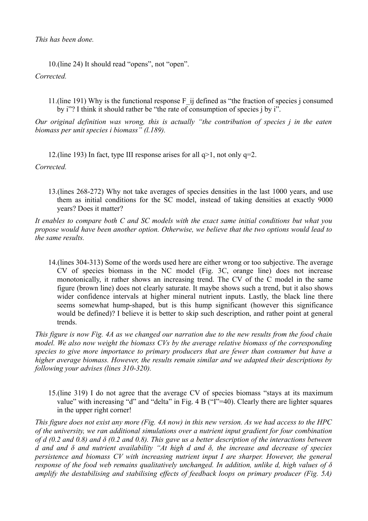## *This has been done.*

10.(line 24) It should read "opens", not "open". *Corrected.*

11.(line 191) Why is the functional response F\_ij defined as "the fraction of species j consumed by i"? I think it should rather be "the rate of consumption of species j by i".

*Our original definition was wrong, this is actually "the contribution of species j in the eaten biomass per unit species i biomass" (l.189).*

12.(line 193) In fact, type III response arises for all  $q>1$ , not only  $q=2$ .

*Corrected.*

13.(lines 268-272) Why not take averages of species densities in the last 1000 years, and use them as initial conditions for the SC model, instead of taking densities at exactly 9000 years? Does it matter?

*It enables to compare both C and SC models with the exact same initial conditions but what you propose would have been another option. Otherwise, we believe that the two options would lead to the same results.* 

14.(lines 304-313) Some of the words used here are either wrong or too subjective. The average CV of species biomass in the NC model (Fig. 3C, orange line) does not increase monotonically, it rather shows an increasing trend. The CV of the C model in the same figure (brown line) does not clearly saturate. It maybe shows such a trend, but it also shows wider confidence intervals at higher mineral nutrient inputs. Lastly, the black line there seems somewhat hump-shaped, but is this hump significant (however this significance would be defined)? I believe it is better to skip such description, and rather point at general trends.

*This figure is now Fig. 4A as we changed our narration due to the new results from the food chain model. We also now weight the biomass CVs by the average relative biomass of the corresponding species to give more importance to primary producers that are fewer than consumer but have a higher average biomass. However, the results remain similar and we adapted their descriptions by following your advises (lines 310-320).*

15.(line 319) I do not agree that the average CV of species biomass "stays at its maximum value" with increasing "d" and "delta" in Fig. 4 B ("I"=40). Clearly there are lighter squares in the upper right corner!

*This figure does not exist any more (Fig. 4A now) in this new version. As we had access to the HPC of the university, we ran additional simulations over a nutrient input gradient for four combination of d (0.2 and 0.8) and δ (0.2 and 0.8). This gave us a better description of the interactions between d and and δ and nutrient availability "At high d and δ, the increase and decrease of species persistence and biomass CV with increasing nutrient input I are sharper. However, the general response of the food web remains qualitatively unchanged. In addition, unlike d, high values of δ amplify the destabilising and stabilising effects of feedback loops on primary producer (Fig. 5A)*